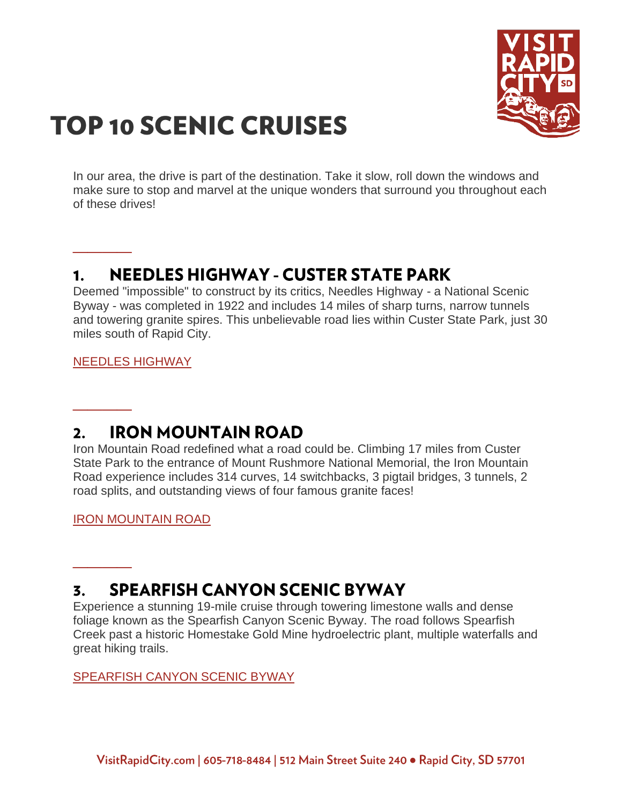

# **TOP 10 SCENIC CRUISES**

In our area, the drive is part of the destination. Take it slow, roll down the windows and make sure to stop and marvel at the unique wonders that surround you throughout each of these drives!

## **NEEDLES HIGHWAY - CUSTER STATE PARK** 1.

Deemed "impossible" to construct by its critics, Needles Highway - a National Scenic Byway - was completed in 1922 and includes 14 miles of sharp turns, narrow tunnels and towering granite spires. This unbelievable road lies within Custer State Park, just 30 miles south of Rapid City.

[NEEDLES HIGHWAY](https://www.visitrapidcity.com/things-to-do/scenic-cruising/needles-highway)

**\_\_\_\_**

**\_\_\_\_**

**\_\_\_\_**

#### **IRON MOUNTAIN ROAD**  $2.$

Iron Mountain Road redefined what a road could be. Climbing 17 miles from Custer State Park to the entrance of Mount Rushmore National Memorial, the Iron Mountain Road experience includes 314 curves, 14 switchbacks, 3 pigtail bridges, 3 tunnels, 2 road splits, and outstanding views of four famous granite faces!

[IRON MOUNTAIN ROAD](https://www.visitrapidcity.com/things-to-do/scenic-cruising/iron-mountain-road)

### **SPEARFISH CANYON SCENIC BYWAY** 3.

Experience a stunning 19-mile cruise through towering limestone walls and dense foliage known as the Spearfish Canyon Scenic Byway. The road follows Spearfish Creek past a historic Homestake Gold Mine hydroelectric plant, multiple waterfalls and great hiking trails.

# [SPEARFISH CANYON SCENIC BYWAY](https://www.visitrapidcity.com/things-to-do/scenic-cruising/spearfish-canyon)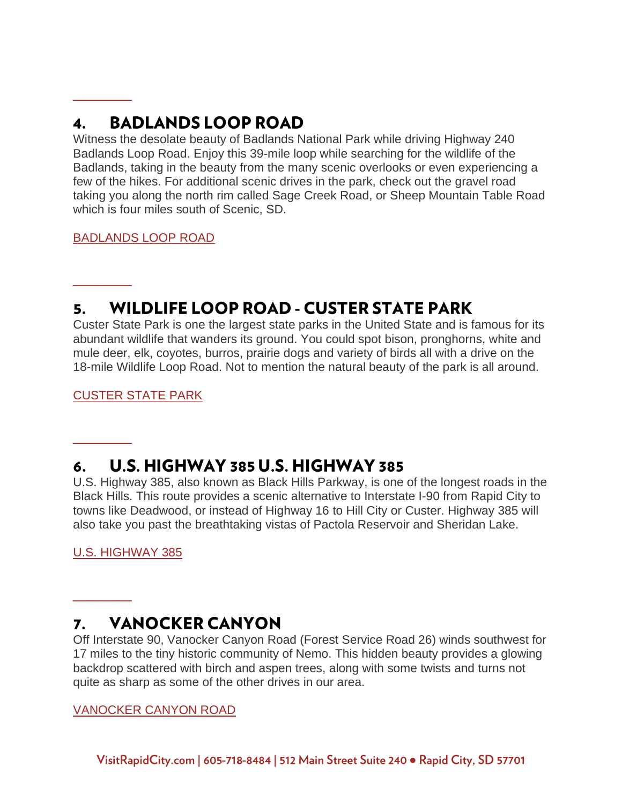### $\mathbf{4}$ **BADLANDS LOOP ROAD**

Witness the desolate beauty of Badlands National Park while driving Highway 240 Badlands Loop Road. Enjoy this 39-mile loop while searching for the wildlife of the Badlands, taking in the beauty from the many scenic overlooks or even experiencing a few of the hikes. For additional scenic drives in the park, check out the gravel road taking you along the north rim called Sage Creek Road, or Sheep Mountain Table Road which is four miles south of Scenic, SD.

[BADLANDS LOOP ROAD](https://www.visitrapidcity.com/parks/badlands-national-park)

**\_\_\_\_**

**\_\_\_\_**

**\_\_\_\_**

**\_\_\_\_**

# **WILDLIFE LOOP ROAD - CUSTER STATE PARK** 5.

Custer State Park is one the largest state parks in the United State and is famous for its abundant wildlife that wanders its ground. You could spot bison, pronghorns, white and mule deer, elk, coyotes, burros, prairie dogs and variety of birds all with a drive on the 18-mile Wildlife Loop Road. Not to mention the natural beauty of the park is all around.

[CUSTER STATE PARK](https://www.visitrapidcity.com/parks/custer-state-park)

## U.S. HIGHWAY 385 U.S. HIGHWAY 385 6.

U.S. Highway 385, also known as Black Hills Parkway, is one of the longest roads in the Black Hills. This route provides a scenic alternative to Interstate I-90 from Rapid City to towns like Deadwood, or instead of Highway 16 to Hill City or Custer. Highway 385 will also take you past the breathtaking vistas of Pactola Reservoir and Sheridan Lake.

[U.S. HIGHWAY 385](https://www.visitrapidcity.com/things-to-do/scenic-cruising/us-highway-385)

#### **VANOCKER CANYON** 7.

Off Interstate 90, Vanocker Canyon Road (Forest Service Road 26) winds southwest for 17 miles to the tiny historic community of Nemo. This hidden beauty provides a glowing backdrop scattered with birch and aspen trees, along with some twists and turns not quite as sharp as some of the other drives in our area.

# [VANOCKER CANYON ROAD](https://www.visitrapidcity.com/things-to-do/scenic-cruising/vanocker-canyon)